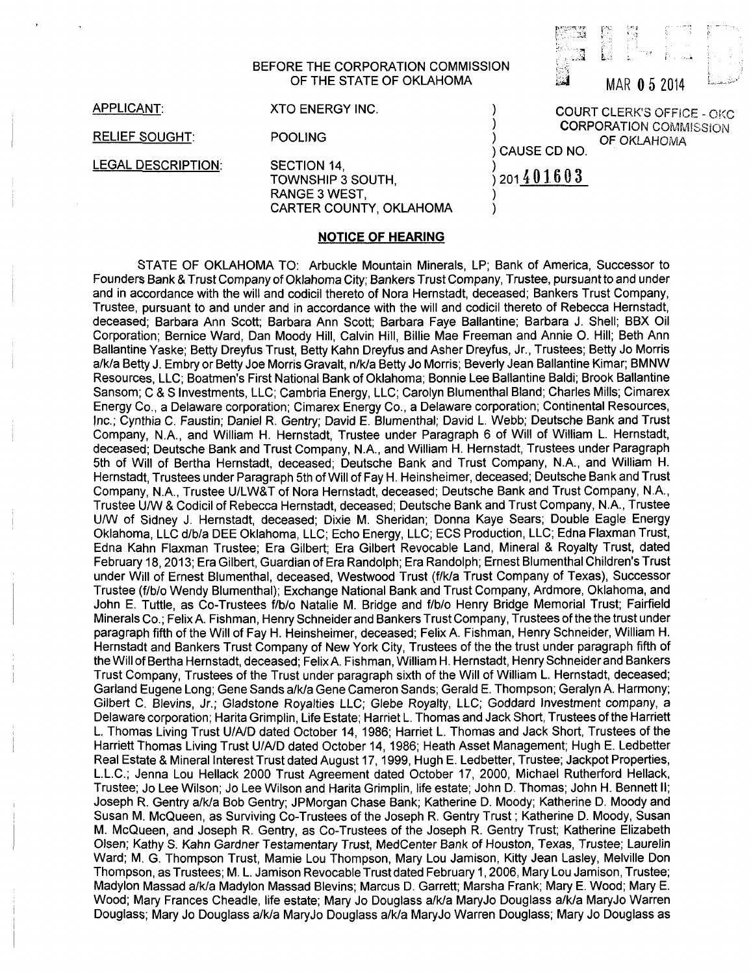## BEFORE THE CORPORATION COMMISSION OF THE STATE OF OKLAHOMA  $\overline{34}$  MAR  $\overline{0}$  5 2014

: -- L

APPLICANT:

RELIEF SOUGHT:

LEGAL DESCRIPTION:

XTO ENERGY INC.

POOLING

SECTION 14, TOWNSHIP 3 SOUTH, RANGE 3 WEST, CARTER COUNTY, OKLAHOMA

## **NOTICE OF HEARING**

STATE OF OKLAHOMA TO: Arbuckle Mountain Minerals, LP; Bank of America, Successor to Founders Bank & Trust Company of Oklahoma City; Bankers Trust Company, Trustee, pursuant to and under and in accordance with the will and codicil thereto of Nora Hernstadt, deceased; Bankers Trust Company, Trustee, pursuant to and under and in accordance with the will and codicil thereto of Rebecca Hernstadt, deceased; Barbara Ann Scott; Barbara Ann Scott; Barbara Faye Ballantine; Barbara J. Shell; BBX Oil Corporation; Bernice Ward, Dan Moody Hill, Calvin Hill, Billie Mae Freeman and Annie 0. Hill; Beth Ann Ballantine Yaske; Betty Dreyfus Trust, Betty Kahn Dreyfus and Asher Dreyfus, Jr., Trustees; Betty Jo Morris a/k/a Betty J. Embry or Betty Joe Morris Gravalt, n/k/a Betty Jo Morris; Beverly Jean Ballantine Kimar; BMNW Resources, LLC; Boatmen's First National Bank of Oklahoma; Bonnie Lee Ballantine Baldi; Brook Ballantine Sansom; C & S Investments, LLC; Cambria Energy, LLC; Carolyn Blumenthal Bland; Charles Mills; Cimarex Energy Co., a Delaware corporation; Cimarex Energy Co., a Delaware corporation; Continental Resources, Inc.; Cynthia C. Faustin; Daniel R. Gentry; David E. Blumenthal; David L. Webb; Deutsche Bank and Trust Company, N.A., and William H. Hernstadt, Trustee under Paragraph 6 of Will of William L. Hernstadt, deceased; Deutsche Bank and Trust Company, N.A., and William H. Hernstadt, Trustees under Paragraph 5th of Will of Bertha Hernstadt, deceased; Deutsche Bank and Trust Company, N.A., and William H. Hernstadt, Trustees under Paragraph 5th of Will of Fay H. Heinsheimer, deceased; Deutsche Bank and Trust Company, N.A., Trustee UILW&T of Nora Hernstadt, deceased; Deutsche Bank and Trust Company, N.A., Trustee IJ/W & Codicil of Rebecca Hernstadt, deceased; Deutsche Bank and Trust Company, N.A., Trustee UIW of Sidney J. Hernstadt, deceased; Dixie M. Sheridan; Donna Kaye Sears; Double Eagle Energy Oklahoma, LLC d/b/a DEE Oklahoma, LLC; Echo Energy, LLC; ECS Production, LLC; Edna Flaxman Trust, Edna Kahn Flaxman Trustee; Era Gilbert; Era Gilbert Revocable Land, Mineral & Royalty Trust, dated February 18, 2013; Era Gilbert, Guardian of Era Randolph; Era Randolph; Ernest Blumenthal Children's Trust under Will of Ernest Blumenthal, deceased, Westwood Trust (f/k/a Trust Company of Texas), Successor Trustee (f/blo Wendy Blumenthal); Exchange National Bank and Trust Company, Ardmore, Oklahoma, and John E. Tuttle, as Co-Trustees f/b/o Natalie M. Bridge and f/b/o Henry Bridge Memorial Trust; Fairfield Minerals Co.; Felix A. Fishman, Henry Schneider and Bankers Trust Company, Trustees of the the trust under paragraph fifth of the Will of Fay H. Heinsheimer, deceased; Felix A. Fishman, Henry Schneider, William H. Hernstadt and Bankers Trust Company of New York City, Trustees of the the trust under paragraph fifth of the Will of Bertha Hernstadt, deceased; Felix A. Fishman, William H. Hernstadt, Henry Schneider and Bankers Trust Company, Trustees of the Trust under paragraph sixth of the Will of William L. Hernstadt, deceased; Garland Eugene Long; Gene Sands a/k/a Gene Cameron Sands; Gerald E. Thompson; Geralyn A. Harmony; Gilbert C. Blevins, Jr.; Gladstone Royalties LLC; Glebe Royalty, LLC; Goddard Investment company, a Delaware corporation; Harita Grimplin, Life Estate; Harriet L. Thomas and Jack Short, Trustees of the Harriett L. Thomas Living Trust U/AID dated October 14, 1986; Harriet L. Thomas and Jack Short, Trustees of the Harriett Thomas Living Trust U/AID dated October 14, 1986; Heath Asset Management; Hugh E. Ledbetter Real Estate & Mineral Interest Trust dated August 17, 1999, Hugh E. Ledbetter, Trustee; Jackpot Properties, L.L.C.; Jenna Lou Hellack 2000 Trust Agreement dated October 17, 2000, Michael Rutherford Hellack, Trustee; Jo Lee Wilson; Jo Lee Wilson and Harita Grimplin, life estate; John D. Thomas; John H. Bennett II; Joseph R. Gentry a/k/a Bob Gentry; JPMorgan Chase Bank; Katherine D. Moody; Katherine D. Moody and Susan M. McQueen, as Surviving Co-Trustees of the Joseph R. Gentry Trust; Katherine D. Moody, Susan M. McQueen, and Joseph R. Gentry, as Co-Trustees of the Joseph R. Gentry Trust; Katherine Elizabeth Olsen; Kathy S. Kahn Gardner Testamentary Trust, MedCenter Bank of Houston, Texas, Trustee; Laurelin Ward; M. G. Thompson Trust, Mamie Lou Thompson, Mary Lou Jamison, Kitty Jean Lasley, Melville Don Thompson, as Trustees; M. L. Jamison Revocable Trust dated February 1, 2006, Mary Lou Jamison, Trustee; Madylon Massad a/k/a Madylon Massad Blevins; Marcus D. Garrett; Marsha Frank; Mary E. Wood; Mary E. Wood; Mary Frances Cheadle, life estate; Mary Jo Douglass a/k/a MaryJo Douglass a/k/a MaryJo Warren Douglass; Mary Jo Douglass a/k/a MaryJo Douglass a/k/a MaryJo Warren Douglass; Mary Jo Douglass as

COURT CLERK'S OFFICE - OKC **CORPORATION COMMISSION** OF OKLAHOMA CAUSE CD NO.

201401603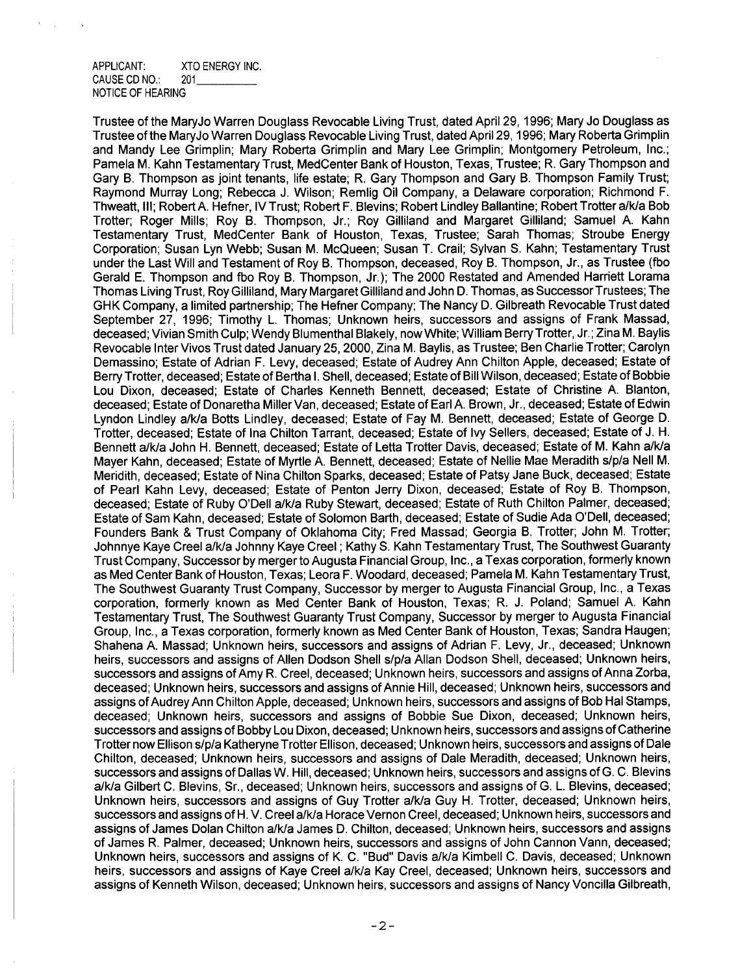## APPLICANT: XTO ENERGY INC. CAUSE CD NO.: 201 NOTICE OF HEARING

Trustee of the MaryJo Warren Douglass Revocable Living Trust, dated April 29, 1996; Mary J0 Douglass as Trustee of the MaryJo Warren Douglass Revocable Living Trust, dated April 29,1996; Mary Roberta Grimplin and Mandy Lee Grimplin; Mary Roberta Grimplin and Mary Lee Grimplin; Montgomery Petroleum, Inc.; Pamela M. Kahn Testamentary Trust, MedCenter Bank of Houston, Texas, Trustee; R. Gary Thompson and Gary B. Thompson as joint tenants, life estate; R. Gary Thompson and Gary B. Thompson Family Trust; Raymond Murray Long; Rebecca J. Wilson; Remlig Oil Company, a Delaware corporation; Richmond F. Thweatt, Ill; Robert A. Hefner, IV Trust; Robert F. Blevins; Robert Lindley Ballantine; Robert Trotter a/k/a Bob Trotter; Roger Mills; Roy B. Thompson, Jr.; Roy Gilliland and Margaret Gilliland; Samuel A. Kahn Testamentary Trust, MedCenter Bank of Houston, Texas, Trustee; Sarah Thomas; Stroube Energy Corporation; Susan Lyn Webb; Susan M. McQueen; Susan T. Crail; Sylvan S. Kahn; Testamentary Trust under the Last Will and Testament of Roy B. Thompson, deceased, Roy B. Thompson, Jr., as Trustee (fbo Gerald E. Thompson and fbo Roy B. Thompson, Jr.); The 2000 Restated and Amended Harriett Lorama Thomas Living Trust, Roy Gilliland, Mary Margaret Gilliland and John D. Thomas, as Successor Trustees; The GHK Company, a limited partnership; The Hefner Company; The Nancy D. Gilbreath Revocable Trust dated September 27, 1996; Timothy L. Thomas; Unknown heirs, successors and assigns of Frank Massad, deceased; Vivian Smith Culp; Wendy Blumenthal Blakely, now White; William Berry Trotter, Jr.; Zina M. Baylis Revocable Inter Vivos Trust dated January 25, 2000, Zina M. Baylis, as Trustee; Ben Charlie Trotter; Carolyn Demassino; Estate of Adrian F. Levy, deceased; Estate of Audrey Ann Chilton Apple, deceased; Estate of Berry Trotter, deceased; Estate of Bertha I. Shell, deceased; Estate of Bill Wilson, deceased; Estate of Bobbie Lou Dixon, deceased; Estate of Charles Kenneth Bennett, deceased; Estate of Christine A. Blanton, deceased; Estate of Donaretha Miller Van, deceased; Estate of Earl A. Brown, Jr., deceased; Estate of Edwin Lyndon Lindley a/k/a Botts Lindley, deceased; Estate of Fay M. Bennett, deceased; Estate of George D. Trotter, deceased; Estate of Ina Chilton Tarrant, deceased; Estate of Ivy Sellers, deceased; Estate of J. H. Bennett a/k/a John H. Bennett, deceased; Estate of Letta Trotter Davis, deceased; Estate of M. Kahn a/k/a Mayer Kahn, deceased; Estate of Myrtle A. Bennett, deceased; Estate of Nellie Mae Meradith s/p/a Nell M. Meridith, deceased; Estate of Nina Chilton Sparks, deceased; Estate of Patsy Jane Buck, deceased; Estate of Pearl Kahn Levy, deceased; Estate of Penton Jerry Dixon, deceased; Estate of Roy B. Thompson, deceased; Estate of Ruby O'Dell a/k/a Ruby Stewart, deceased; Estate of Ruth Chilton Palmer, deceased; Estate of Sam Kahn, deceased; Estate of Solomon Barth, deceased; Estate of Sudie Ada O'Dell, deceased; Founders Bank & Trust Company of Oklahoma City; Fred Massad; Georgia B. Trotter; John M. Trotter; Johnnye Kaye Creel a/k/a Johnny Kaye Creel; Kathy S. Kahn Testamentary Trust, The Southwest Guaranty Trust Company, Successor by merger to Augusta Financial Group, Inc., a Texas corporation, formerly known as Med Center Bank of Houston, Texas; Leora F. Woodard, deceased; Pamela M. Kahn Testamentary Trust, The Southwest Guaranty Trust Company, Successor by merger to Augusta Financial Group, Inc., a Texas corporation, formerly known as Med Center Bank of Houston, Texas; R. J. Poland; Samuel A. Kahn Testamentary Trust, The Southwest Guaranty Trust Company, Successor by merger to Augusta Financial Group, Inc., a Texas corporation, formerly known as Med Center Bank of Houston, Texas; Sandra Haugen; Shahena A. Massad; Unknown heirs, successors and assigns of Adrian F. Levy, Jr., deceased; Unknown heirs, successors and assigns of Allen Dodson Shell s/p/a Allan Dodson Shell, deceased; Unknown heirs, successors and assigns of Amy R. Creel, deceased; Unknown heirs, successors and assigns of Anna Zorba, deceased; Unknown heirs, successors and assigns of Annie Hill, deceased; Unknown heirs, successors and assigns of Audrey Ann Chilton Apple, deceased; Unknown heirs, successors and assigns of Bob Hal Stamps, deceased; Unknown heirs, successors and assigns of Bobbie Sue Dixon, deceased; Unknown heirs, successors and assigns of Bobby Lou Dixon, deceased; Unknown heirs, successors and assigns of Catherine Trotter now Ellison s/p/a Katheryne Trotter Ellison, deceased; Unknown heirs, successors and assigns of Dale Chilton, deceased; Unknown heirs, successors and assigns of Dale Meradith, deceased; Unknown heirs, successors and assigns of Dallas W. Hill, deceased; Unknown heirs, successors and assigns of G. C. Blevins a/k/a Gilbert C. Blevins, Sr., deceased; Unknown heirs, successors and assigns of G. L. Blevins, deceased; Unknown heirs, successors and assigns of Guy Trotter a/k/a Guy H. Trotter, deceased; Unknown heirs, successors and assigns of H. V. Creel a/k/a Horace Vernon Creel, deceased; Unknown heirs, successors and assigns of James Dolan Chilton a/k/a James D. Chilton, deceased; Unknown heirs, successors and assigns of James R. Palmer, deceased; Unknown heirs, successors and assigns of John Cannon Vann, deceased; Unknown heirs, successors and assigns of K. C. "Bud" Davis a/k/a Kimbell C. Davis, deceased; Unknown heirs, successors and assigns of Kaye Creel a/k/a Kay Creel, deceased; Unknown heirs, successors and assigns of Kenneth Wilson, deceased; Unknown heirs, successors and assigns of Nancy Voncilla Gilbreath,